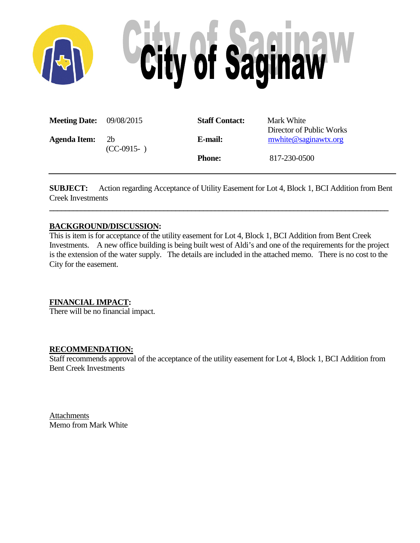

| <b>Meeting Date:</b> 09/08/2015 |                                | <b>Staff Contact:</b> | Mark White<br>Director of Public Works |
|---------------------------------|--------------------------------|-----------------------|----------------------------------------|
| <b>Agenda Item:</b>             | 2 <sub>b</sub><br>$(CC-0915-)$ | E-mail:               | mwhite@saginawtx.org                   |
|                                 |                                | <b>Phone:</b>         | 817-230-0500                           |

**SUBJECT:** Action regarding Acceptance of Utility Easement for Lot 4, Block 1, BCI Addition from Bent Creek Investments

**\_\_\_\_\_\_\_\_\_\_\_\_\_\_\_\_\_\_\_\_\_\_\_\_\_\_\_\_\_\_\_\_\_\_\_\_\_\_\_\_\_\_\_\_\_\_\_\_\_\_\_\_\_\_\_\_\_\_\_\_\_\_\_\_\_\_\_\_\_\_\_\_\_\_\_\_\_\_\_\_\_\_\_\_\_\_**

# **BACKGROUND/DISCUSSION:**

This is item is for acceptance of the utility easement for Lot 4, Block 1, BCI Addition from Bent Creek Investments. A new office building is being built west of Aldi's and one of the requirements for the project is the extension of the water supply. The details are included in the attached memo. There is no cost to the City for the easement.

# **FINANCIAL IMPACT:**

There will be no financial impact.

## **RECOMMENDATION:**

Staff recommends approval of the acceptance of the utility easement for Lot 4, Block 1, BCI Addition from Bent Creek Investments

**Attachments** Memo from Mark White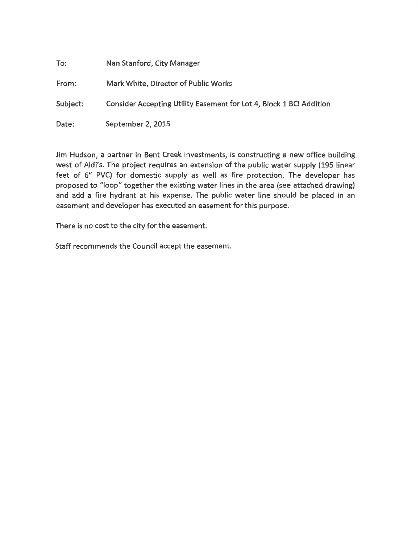| To:      | Nan Stanford, City Manager                                          |
|----------|---------------------------------------------------------------------|
| From:    | Mark White, Director of Public Works                                |
| Subject: | Consider Accepting Utility Easement for Lot 4, Block 1 BCI Addition |
| Date:    | September 2, 2015                                                   |

Jim Hudson, a partner in Bent Creek Investments, is constructing a new office building west of Aldi's. The project requires an extension of the public water supply {195 linear feet of 6" PVC) for domestic supply as well as fire protection. The developer has proposed to "loop" together the existing water lines in the area (see attached drawing) and add a fire hydrant at his expense. The public water line should be placed in an easement and developer has executed an easement for this purpose.

There is no cost to the city for the easement.

Staff recommends the Council accept the easement.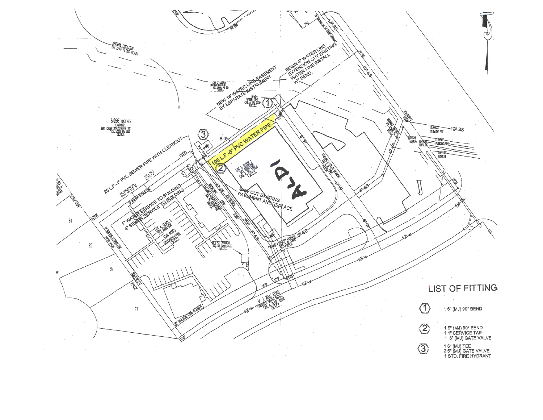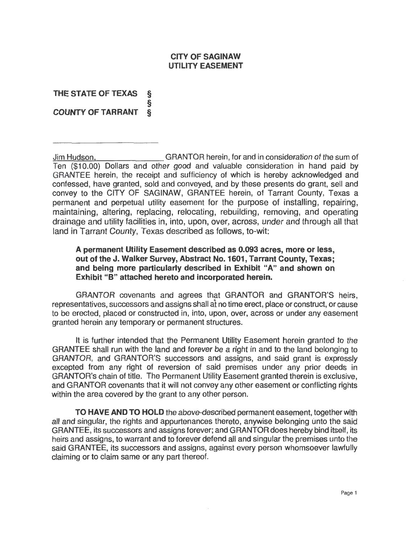## **CJTY OF SAGINAW UTILITY EASEMENT**

**THE STATE OF TEXAS** § § **COUNTY OF TARRANT §** 

Jim Hudson, GRANTOR herein, for and in consideration of the sum of Ten (\$1 0.00) Dollars and other good and valuable consideration in hand paid by GRANTEE herein, the receipt and sufficiency of which is hereby acknowledged and confessed, have granted, sold and conveyed, and by these presents do grant, sell and convey to the CITY OF SAGINAW, GRANTEE herein, of Tarrant County, Texas a permanent and perpetual utility easement for the purpose of installing, repairing, maintaining, altering, replacing, relocating, rebuilding, removing, and operating drainage and utility facilities in, into, upon, over, across, under and through all that land in Tarrant County, Texas described as follows, to-wit:

## **A permanent Utility Easement described as 0.093 acres, more or less, out of the J. Walker Survey, Abstract No. 1601, Tarrant County, Texas; and being more particularly described in Exhibit "A" and shown on Exhibit "B" attached hereto and incorporated herein.**

GRANTOR covenants and agrees that GRANTOR and GRANTOR'S heirs, representatives, successors and assigns shall at no time erect, place or construct, or cause to be erected, placed or constructed in, into, upon, over, across or under any easement granted herein any temporary or permanent structures.

It is further intended that the Permanent Utility Easement herein granted to the GRANTEE shall run with the land and forever be a right in and to the land belonging to GRANTOR, and GRANTOR'S successors and assigns, and said grant is expressly excepted from any right of reversion of said premises under any prior deeds in GRANTOR's chain of title. The Permanent Utility Easement granted therein is exclusive, and GRANTOR covenants that it will not convey any other easement or conflicting rights within the area covered by the grant to any other person.

**TO HAVE AND TO HOLD** the above-described permanent easement, together with all and singular, the rights and appurtenances thereto, anywise belonging unto the said GRANTEE, its successors and assigns forever; and GRANTOR does hereby bind itself, its heirs and assigns, to warrant and to forever defend all and singular the premises unto the said GRANTEE, its successors and assigns, against every person whomsoever lawfully claiming or to claim same or any part thereof.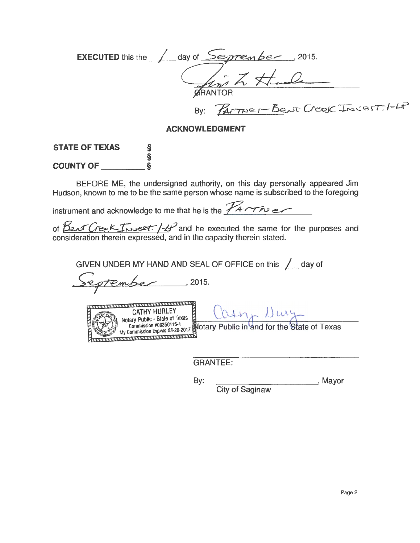| <b>EXECUTED</b> this the $\angle$ day of $Sep$ rember, 2015. |  |
|--------------------------------------------------------------|--|
|                                                              |  |
| finish Hande                                                 |  |
| <b>GRANTOR</b>                                               |  |
| By: PARTNER BENT Creek Incest. 1-4P                          |  |

## **ACKNOWLEDGMENT**

# **STATE OF TEXAS** § § **COUNTYOF** §

BEFORE ME, the undersigned authority, on this day personally appeared Jim Hudson, known to me to be the same person whose name is subscribed to the foregoing

instrument and acknowledge to me that he is the  $\mathcal{F}$ 

of  $\beta$ ent Creek-Invest.  $/$ -4<sup>2</sup> and he executed the same for the purposes and consideration therein expressed, and in the capacity therein stated.

GIVEN UNDER MY HAND AND SEAL OF OFFICE on this <u>1</u> day of

reprember , 2015.

CATHY HURLEY<br>
Notary Public - State of Texas<br>
Commission #00350115-1<br>
My Commission Express 03-2017<br>
My Commission Express 03-2017

GRANTEE:

By: \_\_\_\_\_\_\_\_\_ \_, Mayor City of Saginaw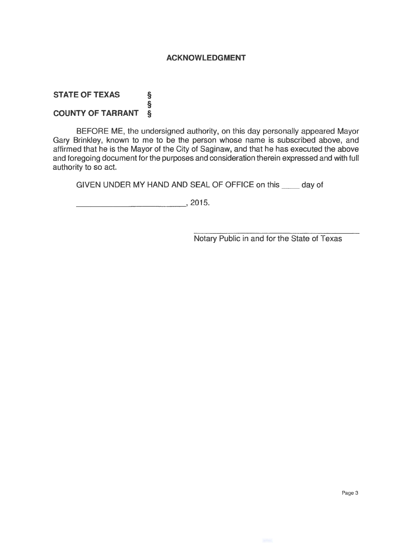#### **ACKNOWLEDGMENT**

#### **STATE OF TEXAS** § § **COUNTY OF TARRANT** §

BEFORE ME, the undersigned authority, on this day personally appeared Mayor Gary Brinkley, known to me to be the person whose name is subscribed above, and affirmed that he is the Mayor of the City of Saginaw, and that he has executed the above and foregoing document for the purposes and consideration therein expressed and with full authority to so act.

GIVEN UNDER MY HAND AND SEAL OF OFFICE on this \_\_ day of

----------'' 2015.

Notary Public in and for the State of Texas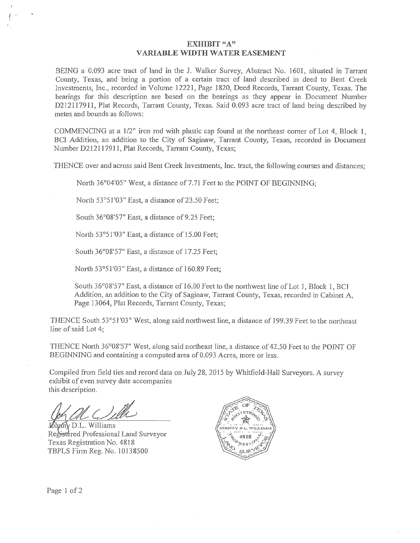#### **EXHIBIT** "A" **VARIABLE WIDTH WATER EASEMENT**

BEING a 0.093 acre tract of land in the J. Walker Survey, Abstract No. 1601, situated in Tarrant County, Texas, and being a portion of a certain tract of land described in deed to Bent Creek lnvestments, Inc., recorded in Volume 12221, Page 1820, Deed Records, Tarrant County, Texas. The bearings for this description are based on the bearings as they appear in Document Number D212117911, Plat Records, Tarrant County, Texas. Said 0.093 acre tract of land being described by metes and bounds as follows:

COMMENCING at a 1/2" iron rod with plastic cap found at the northeast corner of Lot 4, Block 1, BCI Addition, an addition to the City of Saginaw, Tarrant County, Texas, recorded in Document Number D212117911, Plat Records, Tarrant County, Texas;

THENCE over and across said Bent Creek Investments, Inc. tract, the following courses and distances;

North 36°04'05" West, a distance of 7.71 Feet to the POINT OF BEGINNING;

North 53°51'03" East, a distance of 23.50 Feet;

South 36°08'57" East, a distance of 9.25 Feet;

North 53°51'03" East, a distance of 15.00 Feet;

South 36°08'57" East, a distance of 17.25 Feet;

North 53°51'03" East, a distance of 160.89 Feet;

South 36°08'57" East, a distance of 16.00 Feet to the northwest line of Lot J, Block 1, BCI Addition, an addition to the City of Saginaw, Tarrant County, Texas, recorded in Cabinet A, Page 13064, Plat Records, Tarrant County, Texas;

THENCE South 53°51'03" West, along said northwest line, a distance of 199.39 Feet to the northeast line of said Lot 4;

THENCE North 36°08'57" West, along said northeast line, a distance of 42.50 Feet to the POINT OF BEGINNING and containing a computed area of 0.093 Acres, more or less.

Compiled from field ties and record data on July 28, 2015 by Whitfield-Hall Surveyors. *A* survey exhibit of even survey date accompanies this description.

! () ille

 $\rm \tilde{N}$  D.L. Williams Registered Professional Land Surveyor Texas Registration No. 4818 TBPLS Firm Reg. No. 10138500



Page 1 of 2

*i*   $\frac{i}{t}$